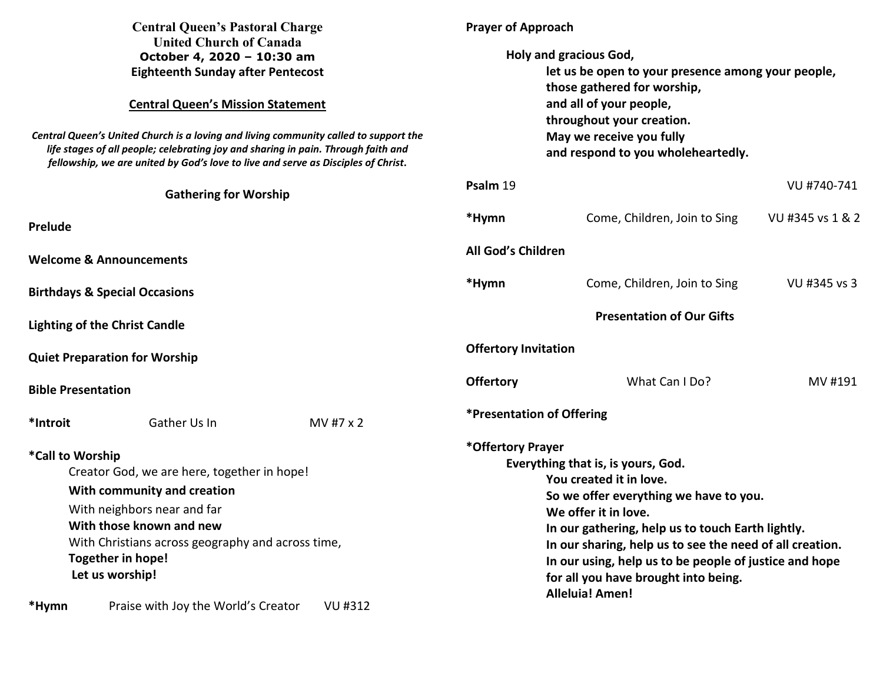| <b>Central Queen's Pastoral Charge</b><br><b>United Church of Canada</b><br>October 4, 2020 - 10:30 am<br><b>Eighteenth Sunday after Pentecost</b><br><b>Central Queen's Mission Statement</b><br>Central Queen's United Church is a loving and living community called to support the<br>life stages of all people; celebrating joy and sharing in pain. Through faith and<br>fellowship, we are united by God's love to live and serve as Disciples of Christ. |                                      |           | <b>Prayer of Approach</b><br>Holy and gracious God,<br>let us be open to your presence among your people,<br>those gathered for worship,<br>and all of your people,<br>throughout your creation.<br>May we receive you fully<br>and respond to you wholeheartedly.                                                                                                                                |                              |                  |  |
|------------------------------------------------------------------------------------------------------------------------------------------------------------------------------------------------------------------------------------------------------------------------------------------------------------------------------------------------------------------------------------------------------------------------------------------------------------------|--------------------------------------|-----------|---------------------------------------------------------------------------------------------------------------------------------------------------------------------------------------------------------------------------------------------------------------------------------------------------------------------------------------------------------------------------------------------------|------------------------------|------------------|--|
|                                                                                                                                                                                                                                                                                                                                                                                                                                                                  |                                      |           |                                                                                                                                                                                                                                                                                                                                                                                                   |                              |                  |  |
| Prelude                                                                                                                                                                                                                                                                                                                                                                                                                                                          |                                      |           | *Hymn                                                                                                                                                                                                                                                                                                                                                                                             | Come, Children, Join to Sing | VU #345 vs 1 & 2 |  |
| <b>Welcome &amp; Announcements</b>                                                                                                                                                                                                                                                                                                                                                                                                                               |                                      |           | All God's Children                                                                                                                                                                                                                                                                                                                                                                                |                              |                  |  |
| <b>Birthdays &amp; Special Occasions</b>                                                                                                                                                                                                                                                                                                                                                                                                                         |                                      |           | *Hymn                                                                                                                                                                                                                                                                                                                                                                                             | Come, Children, Join to Sing | VU #345 vs 3     |  |
| <b>Lighting of the Christ Candle</b>                                                                                                                                                                                                                                                                                                                                                                                                                             |                                      |           | <b>Presentation of Our Gifts</b>                                                                                                                                                                                                                                                                                                                                                                  |                              |                  |  |
|                                                                                                                                                                                                                                                                                                                                                                                                                                                                  | <b>Quiet Preparation for Worship</b> |           | <b>Offertory Invitation</b>                                                                                                                                                                                                                                                                                                                                                                       |                              |                  |  |
| <b>Bible Presentation</b>                                                                                                                                                                                                                                                                                                                                                                                                                                        |                                      |           | <b>Offertory</b>                                                                                                                                                                                                                                                                                                                                                                                  | What Can I Do?               | MV #191          |  |
| *Introit                                                                                                                                                                                                                                                                                                                                                                                                                                                         | Gather Us In                         | MV #7 x 2 | *Presentation of Offering                                                                                                                                                                                                                                                                                                                                                                         |                              |                  |  |
| *Call to Worship<br>Creator God, we are here, together in hope!<br>With community and creation<br>With neighbors near and far<br>With those known and new<br>With Christians across geography and across time,<br>Together in hope!<br>Let us worship!                                                                                                                                                                                                           |                                      |           | *Offertory Prayer<br>Everything that is, is yours, God.<br>You created it in love.<br>So we offer everything we have to you.<br>We offer it in love.<br>In our gathering, help us to touch Earth lightly.<br>In our sharing, help us to see the need of all creation.<br>In our using, help us to be people of justice and hope<br>for all you have brought into being.<br><b>Alleluia! Amen!</b> |                              |                  |  |
| *Hymn                                                                                                                                                                                                                                                                                                                                                                                                                                                            | Praise with Joy the World's Creator  | VU #312   |                                                                                                                                                                                                                                                                                                                                                                                                   |                              |                  |  |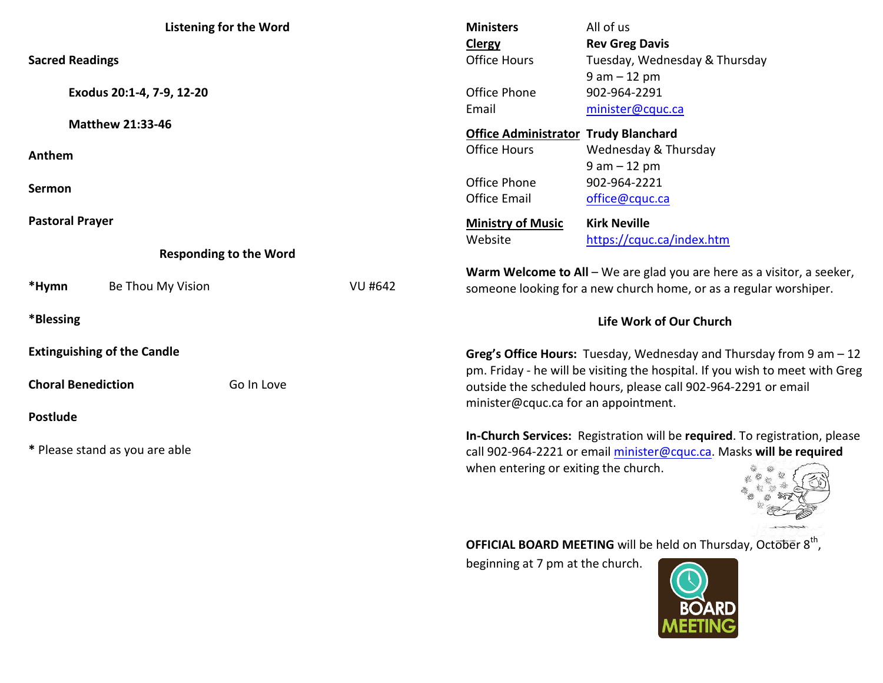| <b>Listening for the Word</b>      |                   |            |                | All of us<br><b>Ministers</b>                                                                                                                                                             |                                                                          |  |
|------------------------------------|-------------------|------------|----------------|-------------------------------------------------------------------------------------------------------------------------------------------------------------------------------------------|--------------------------------------------------------------------------|--|
| <b>Sacred Readings</b>             |                   |            |                | <b>Clergy</b><br><b>Office Hours</b>                                                                                                                                                      | <b>Rev Greg Davis</b><br>Tuesday, Wednesday & Thursday<br>$9 am - 12 pm$ |  |
| Exodus 20:1-4, 7-9, 12-20          |                   |            |                | Office Phone<br>Email                                                                                                                                                                     | 902-964-2291<br>minister@cquc.ca                                         |  |
| <b>Matthew 21:33-46</b>            |                   |            |                | <b>Office Administrator Trudy Blanchard</b>                                                                                                                                               |                                                                          |  |
| Anthem                             |                   |            |                | <b>Office Hours</b>                                                                                                                                                                       | Wednesday & Thursday<br>$9 am - 12 pm$                                   |  |
| Sermon                             |                   |            |                | Office Phone<br><b>Office Email</b>                                                                                                                                                       | 902-964-2221<br>office@cquc.ca                                           |  |
| <b>Pastoral Prayer</b>             |                   |            |                | <b>Ministry of Music</b>                                                                                                                                                                  | <b>Kirk Neville</b>                                                      |  |
| <b>Responding to the Word</b>      |                   |            |                | Website                                                                                                                                                                                   | https://cquc.ca/index.htm                                                |  |
| *Hymn                              | Be Thou My Vision |            | <b>VU #642</b> | Warm Welcome to All - We are glad you are here as a visitor, a seeker,<br>someone looking for a new church home, or as a regular worshiper.                                               |                                                                          |  |
| *Blessing                          |                   |            |                | Life Work of Our Church                                                                                                                                                                   |                                                                          |  |
| <b>Extinguishing of the Candle</b> |                   |            |                | Greg's Office Hours: Tuesday, Wednesday and Thursday from $9$ am $-12$                                                                                                                    |                                                                          |  |
| <b>Choral Benediction</b>          |                   | Go In Love |                | pm. Friday - he will be visiting the hospital. If you wish to meet with Greg<br>outside the scheduled hours, please call 902-964-2291 or email<br>minister@cquc.ca for an appointment.    |                                                                          |  |
| <b>Postlude</b>                    |                   |            |                |                                                                                                                                                                                           |                                                                          |  |
| * Please stand as you are able     |                   |            |                | In-Church Services: Registration will be required. To registration, please<br>call 902-964-2221 or email minister@cquc.ca. Masks will be required<br>when entering or exiting the church. |                                                                          |  |



**OFFICIAL BOARD MEETING** will be held on Thursday, October 8<sup>th</sup>,

beginning at 7 pm at the church.